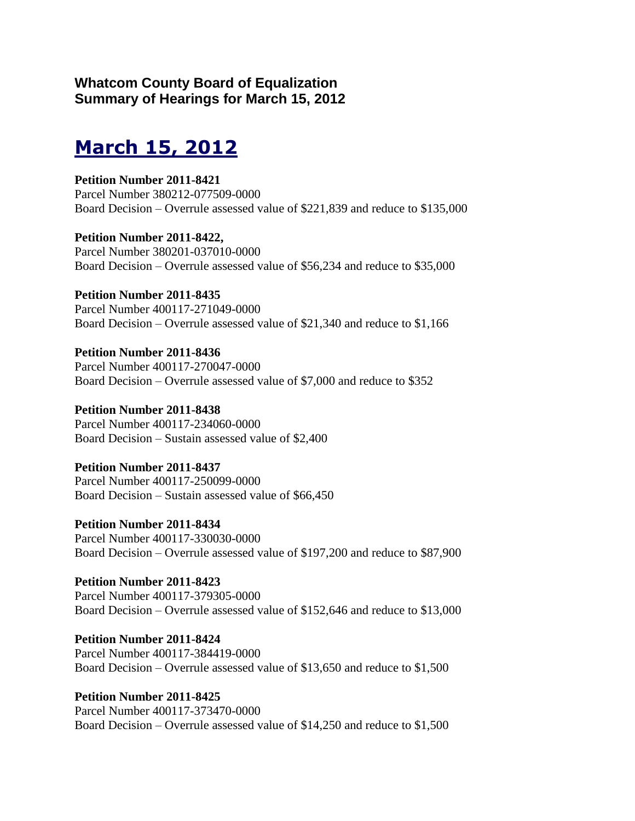## **Whatcom County Board of Equalization Summary of Hearings for March 15, 2012**

## **March 15, 2012**

**Petition Number 2011-8421** Parcel Number 380212-077509-0000 Board Decision – Overrule assessed value of \$221,839 and reduce to \$135,000

**Petition Number 2011-8422,** Parcel Number 380201-037010-0000 Board Decision – Overrule assessed value of \$56,234 and reduce to \$35,000

**Petition Number 2011-8435** Parcel Number 400117-271049-0000 Board Decision – Overrule assessed value of \$21,340 and reduce to \$1,166

**Petition Number 2011-8436** Parcel Number 400117-270047-0000 Board Decision – Overrule assessed value of \$7,000 and reduce to \$352

**Petition Number 2011-8438** Parcel Number 400117-234060-0000 Board Decision – Sustain assessed value of \$2,400

**Petition Number 2011-8437** Parcel Number 400117-250099-0000 Board Decision – Sustain assessed value of \$66,450

**Petition Number 2011-8434** Parcel Number 400117-330030-0000 Board Decision – Overrule assessed value of \$197,200 and reduce to \$87,900

**Petition Number 2011-8423** Parcel Number 400117-379305-0000 Board Decision – Overrule assessed value of \$152,646 and reduce to \$13,000

**Petition Number 2011-8424** Parcel Number 400117-384419-0000 Board Decision – Overrule assessed value of \$13,650 and reduce to \$1,500

**Petition Number 2011-8425** Parcel Number 400117-373470-0000 Board Decision – Overrule assessed value of \$14,250 and reduce to \$1,500